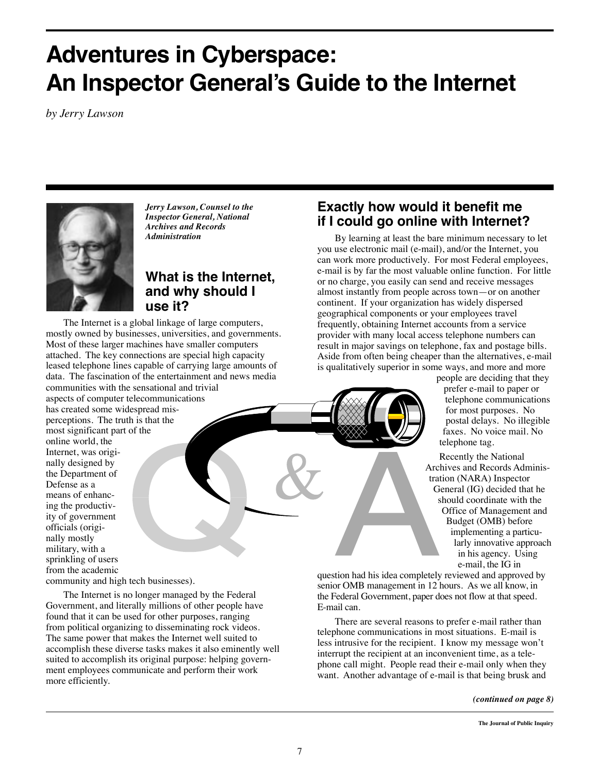# **Adventures in Cyberspace: An Inspector General's Guide to the Internet**

*by Jerry Lawson*



*Jerry Lawson, Counsel to the Inspector General, National Archives and Records Administration* 

### **What is the Internet, and why should I use it?**

The Internet is a global linkage of large computers, mostly owned by businesses, universities, and governments. Most of these larger machines have smaller computers attached. The key connections are special high capacity leased telephone lines capable of carrying large amounts of data. The fascination of the entertainment and news media communities with the sensational and trivial aspects of computer telecommunications has created some widespread misperceptions. The truth is that the most significant part of the online world, the

Internet, was originally designed by the Department of Defense as a means of enhancing the productivity of government officials (originally mostly military, with a sprinkling of users from the academic

community and high tech businesses).

The Internet is no longer managed by the Federal Government, and literally millions of other people have found that it can be used for other purposes, ranging from political organizing to disseminating rock videos. The same power that makes the Internet well suited to accomplish these diverse tasks makes it also eminently well suited to accomplish its original purpose: helping government employees communicate and perform their work more efficiently.

#### **Exactly how would it benefit me if I could go online with Internet?**

By learning at least the bare minimum necessary to let you use electronic mail (e-mail), and/or the Internet, you can work more productively. For most Federal employees, e-mail is by far the most valuable online function. For little or no charge, you easily can send and receive messages almost instantly from people across town—or on another continent. If your organization has widely dispersed geographical components or your employees travel frequently, obtaining Internet accounts from a service provider with many local access telephone numbers can result in major savings on telephone, fax and postage bills. Aside from often being cheaper than the alternatives, e-mail is qualitatively superior in some ways, and more and more

> people are deciding that they prefer e-mail to paper or telephone communications for most purposes. No postal delays. No illegible faxes. No voice mail. No telephone tag.

Recently the National Archives and Records Administration (NARA) Inspector General (IG) decided that he should coordinate with the Office of Management and Budget (OMB) before implementing a particularly innovative approach in his agency. Using e-mail, the IG in

question had his idea completely reviewed and approved by senior OMB management in 12 hours. As we all know, in the Federal Government, paper does not flow at that speed. E-mail can.

There are several reasons to prefer e-mail rather than telephone communications in most situations. E-mail is less intrusive for the recipient. I know my message won't interrupt the recipient at an inconvenient time, as a telephone call might. People read their e-mail only when they want. Another advantage of e-mail is that being brusk and

*(continued on page 8)*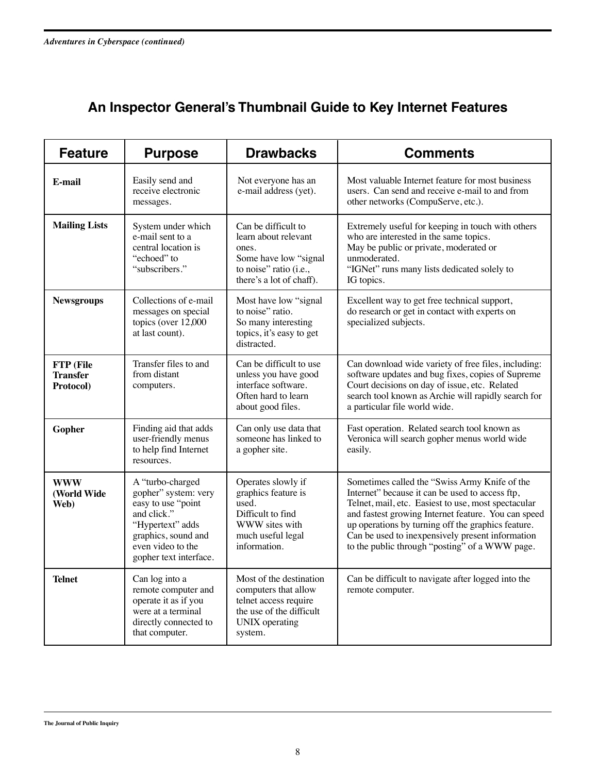# **An Inspector General's Thumbnail Guide to Key Internet Features**

| <b>Feature</b>                            | <b>Purpose</b>                                                                                                                                                          | <b>Drawbacks</b>                                                                                                                     | <b>Comments</b>                                                                                                                                                                                                                                                                                                                                                            |
|-------------------------------------------|-------------------------------------------------------------------------------------------------------------------------------------------------------------------------|--------------------------------------------------------------------------------------------------------------------------------------|----------------------------------------------------------------------------------------------------------------------------------------------------------------------------------------------------------------------------------------------------------------------------------------------------------------------------------------------------------------------------|
| E-mail                                    | Easily send and<br>receive electronic<br>messages.                                                                                                                      | Not everyone has an<br>e-mail address (yet).                                                                                         | Most valuable Internet feature for most business<br>users. Can send and receive e-mail to and from<br>other networks (CompuServe, etc.).                                                                                                                                                                                                                                   |
| <b>Mailing Lists</b>                      | System under which<br>e-mail sent to a<br>central location is<br>"echoed" to<br>"subscribers."                                                                          | Can be difficult to<br>learn about relevant<br>ones.<br>Some have low "signal"<br>to noise" ratio (i.e.,<br>there's a lot of chaff). | Extremely useful for keeping in touch with others<br>who are interested in the same topics.<br>May be public or private, moderated or<br>unmoderated.<br>"IGNet" runs many lists dedicated solely to<br>IG topics.                                                                                                                                                         |
| <b>Newsgroups</b>                         | Collections of e-mail<br>messages on special<br>topics (over 12,000<br>at last count).                                                                                  | Most have low "signal<br>to noise" ratio.<br>So many interesting<br>topics, it's easy to get<br>distracted.                          | Excellent way to get free technical support,<br>do research or get in contact with experts on<br>specialized subjects.                                                                                                                                                                                                                                                     |
| FTP (File<br><b>Transfer</b><br>Protocol) | Transfer files to and<br>from distant<br>computers.                                                                                                                     | Can be difficult to use<br>unless you have good<br>interface software.<br>Often hard to learn<br>about good files.                   | Can download wide variety of free files, including:<br>software updates and bug fixes, copies of Supreme<br>Court decisions on day of issue, etc. Related<br>search tool known as Archie will rapidly search for<br>a particular file world wide.                                                                                                                          |
| Gopher                                    | Finding aid that adds<br>user-friendly menus<br>to help find Internet<br>resources.                                                                                     | Can only use data that<br>someone has linked to<br>a gopher site.                                                                    | Fast operation. Related search tool known as<br>Veronica will search gopher menus world wide<br>easily.                                                                                                                                                                                                                                                                    |
| <b>WWW</b><br>(World Wide<br>Web)         | A "turbo-charged<br>gopher" system: very<br>easy to use "point<br>and click."<br>"Hypertext" adds<br>graphics, sound and<br>even video to the<br>gopher text interface. | Operates slowly if<br>graphics feature is<br>used.<br>Difficult to find<br>WWW sites with<br>much useful legal<br>information.       | Sometimes called the "Swiss Army Knife of the<br>Internet" because it can be used to access ftp,<br>Telnet, mail, etc. Easiest to use, most spectacular<br>and fastest growing Internet feature. You can speed<br>up operations by turning off the graphics feature.<br>Can be used to inexpensively present information<br>to the public through "posting" of a WWW page. |
| <b>Telnet</b>                             | Can log into a<br>remote computer and<br>operate it as if you<br>were at a terminal<br>directly connected to<br>that computer.                                          | Most of the destination<br>computers that allow<br>telnet access require<br>the use of the difficult<br>UNIX operating<br>system.    | Can be difficult to navigate after logged into the<br>remote computer.                                                                                                                                                                                                                                                                                                     |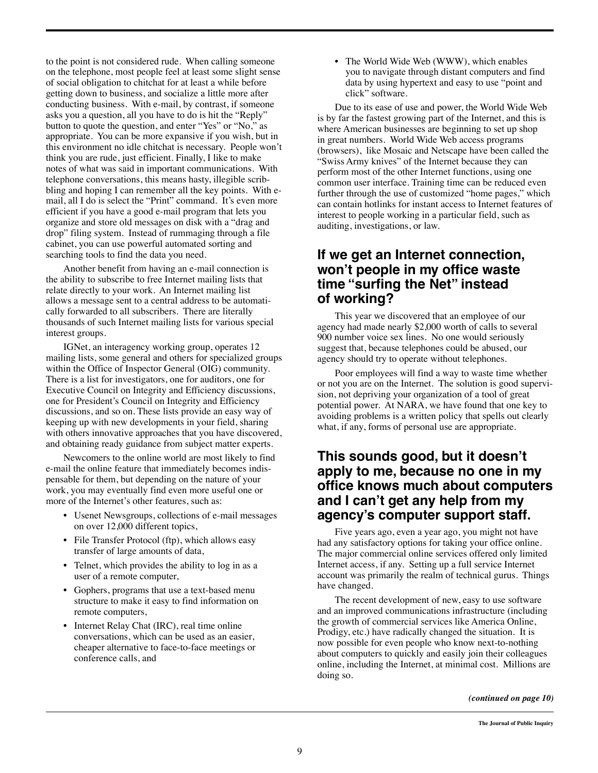to the point is not considered rude. When calling someone on the telephone, most people feel at least some slight sense of social obligation to chitchat for at least a while before getting down to business, and socialize a little more after conducting business. With e-mail, by contrast, if someone asks you a question, all you have to do is hit the "Reply" button to quote the question, and enter "Yes" or "No," as appropriate. You can be more expansive if you wish, but in this environment no idle chitchat is necessary. People won't think you are rude, just efficient. Finally, I like to make notes of what was said in important communications. With telephone conversations, this means hasty, illegible scribbling and hoping I can remember all the key points. With email, all I do is select the "Print" command. It's even more efficient if you have a good e-mail program that lets you organize and store old messages on disk with a "drag and drop" filing system. Instead of rummaging through a file cabinet, you can use powerful automated sorting and searching tools to find the data you need.

Another benefit from having an e-mail connection is the ability to subscribe to free Internet mailing lists that relate directly to your work. An Internet mailing list allows a message sent to a central address to be automatically forwarded to all subscribers. There are literally thousands of such Internet mailing lists for various special interest groups.

IGNet, an interagency working group, operates 12 mailing lists, some general and others for specialized groups within the Office of Inspector General (OIG) community. There is a list for investigators, one for auditors, one for Executive Council on Integrity and Efficiency discussions, one for President's Council on Integrity and Efficiency discussions, and so on. These lists provide an easy way of keeping up with new developments in your field, sharing with others innovative approaches that you have discovered, and obtaining ready guidance from subject matter experts.

Newcomers to the online world are most likely to find e-mail the online feature that immediately becomes indispensable for them, but depending on the nature of your work, you may eventually find even more useful one or more of the Internet's other features, such as:

- Usenet Newsgroups, collections of e-mail messages on over 12,000 different topics,
- File Transfer Protocol (ftp), which allows easy transfer of large amounts of data,
- Telnet, which provides the ability to log in as a user of a remote computer,
- Gophers, programs that use a text-based menu structure to make it easy to find information on remote computers,
- Internet Relay Chat (IRC), real time online conversations, which can be used as an easier, cheaper alternative to face-to-face meetings or conference calls, and

• The World Wide Web (WWW), which enables you to navigate through distant computers and find data by using hypertext and easy to use "point and click" software.

Due to its ease of use and power, the World Wide Web is by far the fastest growing part of the Internet, and this is where American businesses are beginning to set up shop in great numbers. World Wide Web access programs (browsers), like Mosaic and Netscape have been called the "Swiss Army knives" of the Internet because they can perform most of the other Internet functions, using one common user interface. Training time can be reduced even further through the use of customized "home pages," which can contain hotlinks for instant access to Internet features of interest to people working in a particular field, such as auditing, investigations, or law.

#### **If we get an Internet connection, won't people in my office waste time "surfing the Net" instead of working?**

This year we discovered that an employee of our agency had made nearly \$2,000 worth of calls to several 900 number voice sex lines. No one would seriously suggest that, because telephones could be abused, our agency should try to operate without telephones.

Poor employees will find a way to waste time whether or not you are on the Internet. The solution is good supervision, not depriving your organization of a tool of great potential power. At NARA, we have found that one key to avoiding problems is a written policy that spells out clearly what, if any, forms of personal use are appropriate.

#### **This sounds good, but it doesn't apply to me, because no one in my office knows much about computers and I can't get any help from my agency's computer support staff.**

Five years ago, even a year ago, you might not have had any satisfactory options for taking your office online. The major commercial online services offered only limited Internet access, if any. Setting up a full service Internet account was primarily the realm of technical gurus. Things have changed.

The recent development of new, easy to use software and an improved communications infrastructure (including the growth of commercial services like America Online, Prodigy, etc.) have radically changed the situation. It is now possible for even people who know next-to-nothing about computers to quickly and easily join their colleagues online, including the Internet, at minimal cost. Millions are doing so.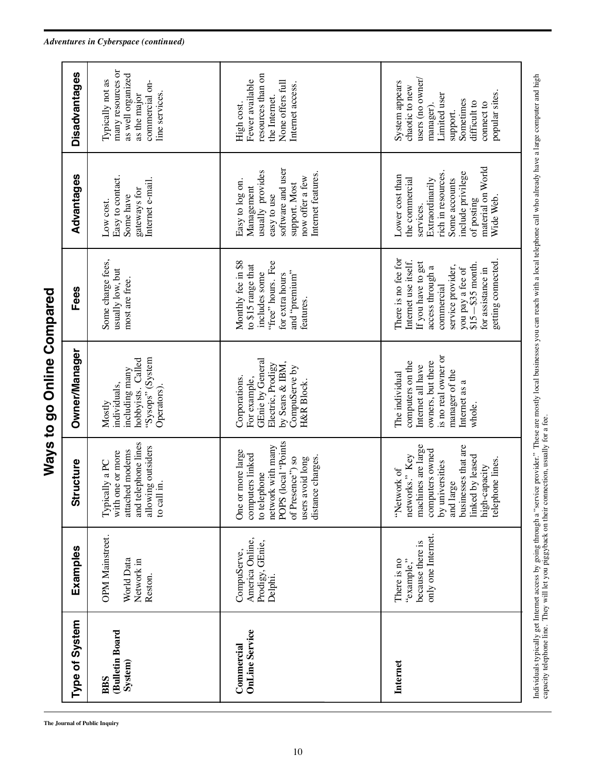| Type of System                                 | Examples                                                            | Structure                                                                                                                                                                              | <b>Owner/Manager</b>                                                                                                                             | Fees                                                                                                                                                                                                          | Advantages                                                                                                                                                                    | <b>Disadvantages</b>                                                                                                                                       |
|------------------------------------------------|---------------------------------------------------------------------|----------------------------------------------------------------------------------------------------------------------------------------------------------------------------------------|--------------------------------------------------------------------------------------------------------------------------------------------------|---------------------------------------------------------------------------------------------------------------------------------------------------------------------------------------------------------------|-------------------------------------------------------------------------------------------------------------------------------------------------------------------------------|------------------------------------------------------------------------------------------------------------------------------------------------------------|
| <b>Bulletin Board</b><br>System)<br><b>BBS</b> | OPM Mainstreet.<br>World Data<br>Network in<br>Reston.              | and telephone lines<br>allowing outsiders<br>attached modems<br>with one or more<br>Typically a PC<br>to call in.                                                                      | "Sysops" (System<br>hobbyists. Called<br>including many<br>individuals,<br>Operators).<br>Mostly                                                 | Some charge fees,<br>usually low, but<br>most are free.                                                                                                                                                       | Easy to contact.<br>Internet e-mail.<br>gateways for<br>Some have<br>Low cost.                                                                                                | many resources or<br>as well organized<br>Typically not as<br>commercial on-<br>line services.<br>as the major                                             |
| <b>OnLine Service</b><br>Commercial            | America Online,<br>Prodigy, GEnie,<br>CompuServe,<br>Delphi.        | POPS (local "Points<br>network with many<br>One or more large<br>computers linked<br>distance charges.<br>of Presence") so<br>users avoid long<br>to telephone                         | GEnie by General<br>by Sears & IBM,<br>Electric, Prodigy<br>CompuServe by<br>Corporations.<br>For example,<br>H&R Block.                         | Monthly fee in \$8<br>"free" hours. Fee<br>to \$15 range that<br>and "premium"<br>includes some<br>for extra hours<br>features.                                                                               | software and user<br>usually provides<br>Internet features.<br>now offer a few<br>Easy to log on.<br>support. Most<br>Management<br>easy to use                               | resources than on<br>Fewer available<br>None offers full<br>Internet access.<br>the Internet.<br>High cost.                                                |
| Internet                                       | only one Internet.<br>because there is<br>"example,"<br>There is no | machines are large<br>businesses that are<br>computers owned<br>networks." Key<br>linked by leased<br>telephone lines.<br>by universities<br>high-capacity<br>"Network of<br>and large | is no real owner or<br>owners, but there<br>computers on the<br>Internet all have<br>manager of the<br>The individual<br>Internet as a<br>whole. | There is no fee for<br>getting connected.<br>Internet use itself.<br>If you have to get<br>you pay a fee of<br>\$15 – \$35 month.<br>service provider,<br>access through a<br>for assistance in<br>commercial | material on World<br>rich in resources.<br>include privilege<br>Lower cost than<br>the commercial<br>Extraordinarily<br>Some accounts<br>Wide Web.<br>of posting<br>services. | users (no owner/<br>System appears<br>chaotic to new<br>popular sites.<br>Limited user<br>Sometimes<br>connect to<br>difficult to<br>manager).<br>support. |

Individuals typically get Internet access by going through a "service provider." These are mostly local businesses you can reach with a local telephone call who already have a large computer and high

Individuals typically get Internet access by going through a "service provider." These are mostly local businesses you can reach with a local telephone call who already have a large computer and high<br>capacity telephone lin

capacity telephone line. They will let you piggyback on their connection, usually for a fee.

**The Journal of Public Inquiry**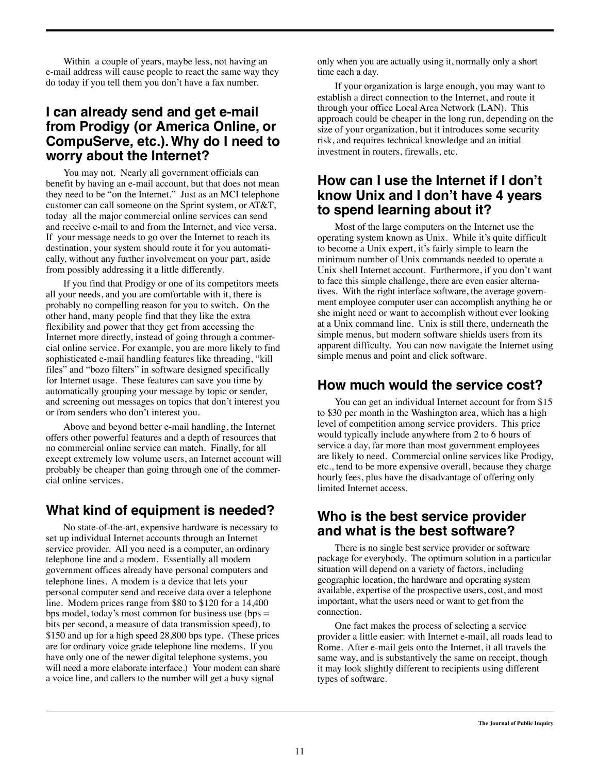Within a couple of years, maybe less, not having an e-mail address will cause people to react the same way they do today if you tell them you don't have a fax number.

#### **I can already send and get e-mail from Prodigy (or America Online, or CompuServe, etc.). Why do I need to worry about the Internet?**

You may not. Nearly all government officials can benefit by having an e-mail account, but that does not mean they need to be "on the Internet." Just as an MCI telephone customer can call someone on the Sprint system, or AT&T, today all the major commercial online services can send and receive e-mail to and from the Internet, and vice versa. If your message needs to go over the Internet to reach its destination, your system should route it for you automatically, without any further involvement on your part, aside from possibly addressing it a little differently.

If you find that Prodigy or one of its competitors meets all your needs, and you are comfortable with it, there is probably no compelling reason for you to switch. On the other hand, many people find that they like the extra flexibility and power that they get from accessing the Internet more directly, instead of going through a commercial online service. For example, you are more likely to find sophisticated e-mail handling features like threading, "kill files" and "bozo filters" in software designed specifically for Internet usage. These features can save you time by automatically grouping your message by topic or sender, and screening out messages on topics that don't interest you or from senders who don't interest you.

Above and beyond better e-mail handling, the Internet offers other powerful features and a depth of resources that no commercial online service can match. Finally, for all except extremely low volume users, an Internet account will probably be cheaper than going through one of the commercial online services.

## **What kind of equipment is needed?**

No state-of-the-art, expensive hardware is necessary to set up individual Internet accounts through an Internet service provider. All you need is a computer, an ordinary telephone line and a modem. Essentially all modern government offices already have personal computers and telephone lines. A modem is a device that lets your personal computer send and receive data over a telephone line. Modem prices range from \$80 to \$120 for a 14,400 bps model, today's most common for business use (bps = bits per second, a measure of data transmission speed), to \$150 and up for a high speed 28,800 bps type. (These prices are for ordinary voice grade telephone line modems. If you have only one of the newer digital telephone systems, you will need a more elaborate interface.) Your modem can share a voice line, and callers to the number will get a busy signal

only when you are actually using it, normally only a short time each a day.

If your organization is large enough, you may want to establish a direct connection to the Internet, and route it through your office Local Area Network (LAN). This approach could be cheaper in the long run, depending on the size of your organization, but it introduces some security risk, and requires technical knowledge and an initial investment in routers, firewalls, etc.

#### **How can I use the Internet if I don't know Unix and I don't have 4 years to spend learning about it?**

Most of the large computers on the Internet use the operating system known as Unix. While it's quite difficult to become a Unix expert, it's fairly simple to learn the minimum number of Unix commands needed to operate a Unix shell Internet account. Furthermore, if you don't want to face this simple challenge, there are even easier alternatives. With the right interface software, the average government employee computer user can accomplish anything he or she might need or want to accomplish without ever looking at a Unix command line. Unix is still there, underneath the simple menus, but modern software shields users from its apparent difficulty. You can now navigate the Internet using simple menus and point and click software.

#### **How much would the service cost?**

You can get an individual Internet account for from \$15 to \$30 per month in the Washington area, which has a high level of competition among service providers. This price would typically include anywhere from 2 to 6 hours of service a day, far more than most government employees are likely to need. Commercial online services like Prodigy, etc., tend to be more expensive overall, because they charge hourly fees, plus have the disadvantage of offering only limited Internet access.

#### **Who is the best service provider and what is the best software?**

There is no single best service provider or software package for everybody. The optimum solution in a particular situation will depend on a variety of factors, including geographic location, the hardware and operating system available, expertise of the prospective users, cost, and most important, what the users need or want to get from the connection.

One fact makes the process of selecting a service provider a little easier: with Internet e-mail, all roads lead to Rome. After e-mail gets onto the Internet, it all travels the same way, and is substantively the same on receipt, though it may look slightly different to recipients using different types of software.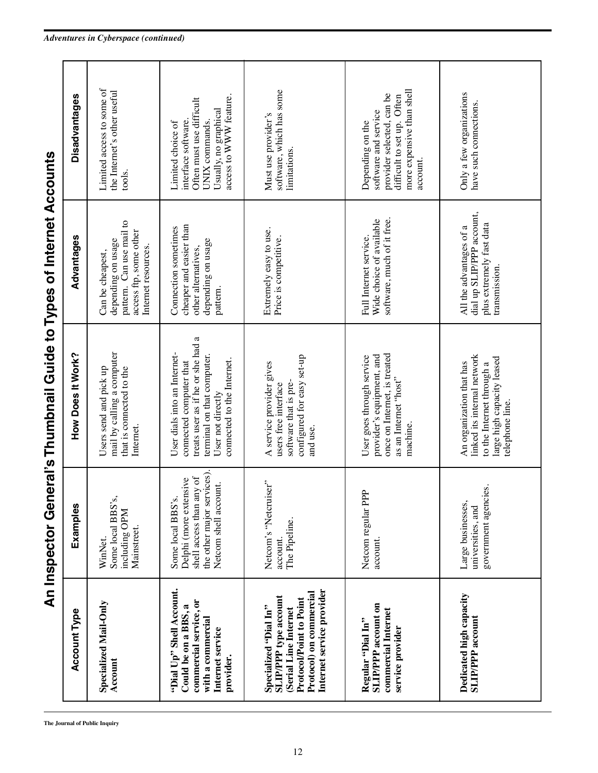| The Journal of Public Inquiry |  |  |  |
|-------------------------------|--|--|--|
|-------------------------------|--|--|--|

|                                                                                                                                                                   |                                                                                                                               | An Inspector General's Thumbnail Guide to Types of Internet Accounts                                                                                                          |                                                                                                                     |                                                                                                                                              |
|-------------------------------------------------------------------------------------------------------------------------------------------------------------------|-------------------------------------------------------------------------------------------------------------------------------|-------------------------------------------------------------------------------------------------------------------------------------------------------------------------------|---------------------------------------------------------------------------------------------------------------------|----------------------------------------------------------------------------------------------------------------------------------------------|
| <b>Account Type</b>                                                                                                                                               | Examples                                                                                                                      | How Does It Work?                                                                                                                                                             | Advantages                                                                                                          | Disadvantages                                                                                                                                |
| <b>Specialized Mail-Only</b><br>Account                                                                                                                           | Some local BBS's,<br>including OPM<br>Mainstreet.<br>WinNet.                                                                  | mail by calling a computer<br>Users send and pick up<br>that is connected to the<br>Internet.                                                                                 | pattern. Can use mail to<br>access ftp, some other<br>depending on usage<br>Internet resources.<br>Can be cheapest, | Limited access to some of<br>the Internet's other useful<br>tools.                                                                           |
| "Dial Up" Shell Account.<br>commercial service, or<br>Could be on a BBS, a<br>with a commercial<br>Internet service<br>provider.                                  | the other major services)<br>shell access than any of<br>Delphi (more extensive<br>Netcom shell account.<br>Some local BBS's. | treats user as if he or she had a<br>User dials into an Internet-<br>terminal on that computer.<br>connected to the Internet.<br>connected computer that<br>User not directly | cheaper and easier than<br>Connection sometimes<br>depending on usage<br>other alternatives,<br>pattern.            | access to WWW feature.<br>Often must use difficult<br>Usually, no graphical<br>UNIX commands.<br>interface software<br>Limited choice of     |
| Internet service provider<br>Protocol) on commercial<br><b>SLIP/PPP</b> type account<br>Protocol/Point to Point<br>Specialized "Dial In"<br>(Serial Line Internet | Netcom's "Netcruiser"<br>The Pipeline.<br>account.                                                                            | configured for easy set-up<br>A service provider gives<br>software that is pre-<br>users free interface<br>and use.                                                           | Extremely easy to use.<br>Price is competitive.                                                                     | software, which has some<br>Must use provider's<br>limitations.                                                                              |
| SLIP/PPP account on<br>commercial Internet<br>Regular "Dial In"<br>service provider                                                                               | Netcom regular PPP<br>account                                                                                                 | once on Internet, is treated<br>provider's equipment, and<br>User goes through service<br>as an Internet "host"<br>machine.                                                   | software, much of it free.<br>Wide choice of available<br>Full Internet service.                                    | more expensive than shell<br>provider selected, can be<br>difficult to set up. Often<br>software and service<br>Depending on the<br>account. |
| Dedicated high capacity<br><b>SLIP/PPP</b> account                                                                                                                | government agencies.<br>Large businesses,<br>universities, and                                                                | linked its internal network<br>large high capacity leased<br>An organization that has<br>to the Internet through a<br>telephone line.                                         | dial up SLIP/PPP account,<br>plus extremely fast data<br>All the advantages of a<br>transmission.                   | Only a few organizations<br>have such connections.                                                                                           |